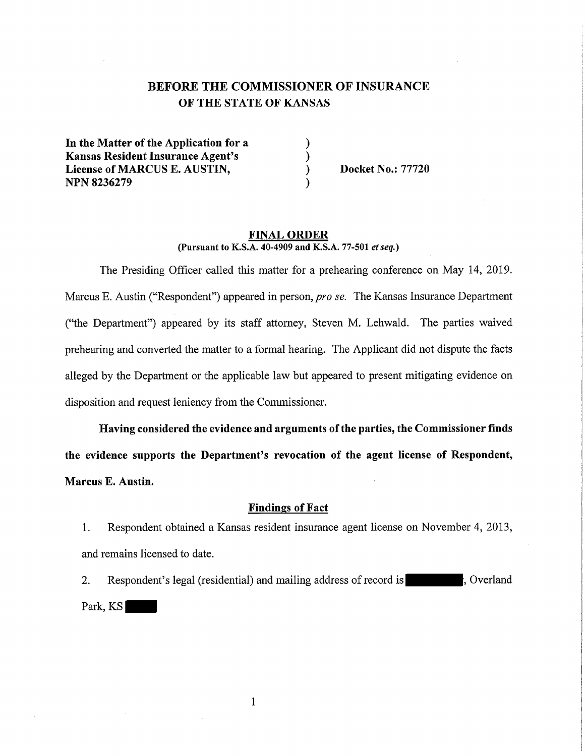# **BEFORE THE COMMISSIONER OF INSURANCE OF THE STATE OF KANSAS**

) ) ) )

In **the Matter of the Application for a Kansas Resident Insurance Agent's License of MARCUS E. AUSTIN, NPN8236279** 

**Docket No.: 77720** 

#### **FINAL ORDER (Pursuant to K.S.A. 40-4909 and K.S.A. 77-501** *et seq.)*

The Presiding Officer called this matter for a prehearing conference on May 14, 2019. Marcus E. Austin ("Respondent") appeared in person, *pro se.* The Kansas Insurance Department ("the Department") appeared by its staff attorney, Steven M. Lehwald. The parties waived prehearing and converted the matter to a formal hearing. The Applicant did not dispute the facts alleged by the Department or the applicable law but appeared to present mitigating evidence on disposition and request leniency from the Commissioner.

**Having considered the evidence and arguments of the parties, the Commissioner finds the evidence supports the Department's revocation of the agent license of Respondent, Marcus E. Austin.** 

## **Findings of Fact**

I. Respondent obtained a Kansas resident insurance agent license on November 4, 2013, and remains licensed to date.

2. Respondent's legal (residential) and mailing address of record is  $\vert$ , Overland Park, KS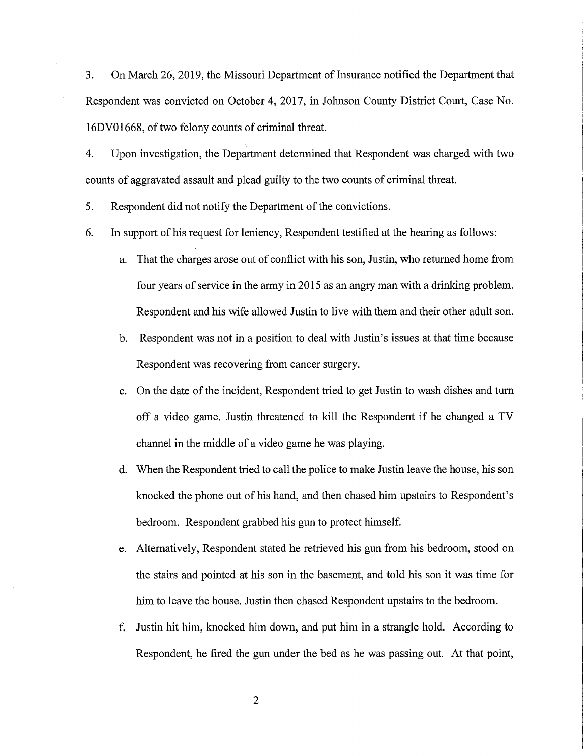3. On March 26, 2019, the Missouri Department of Insurance notified the Department that Respondent was convicted on October 4, 2017, in Johnson County District Court, Case No. 16DV0 1668, of two felony counts of criminal threat.

4. Upon investigation, the Department determined that Respondent was charged with two counts of aggravated assault and plead guilty to the two counts of criminal threat.

5. Respondent did not notify the Department of the convictions.

- 6. In support of his request for leniency, Respondent testified at the hearing as follows:
	- a. That the charges arose out of conflict with his son, Justin, who returned home from four years of service in the army in 2015 as an angry man with a drinking problem. Respondent and his wife allowed Justin to live with them and their other adult son.
	- b. Respondent was not in a position to deal with Justin's issues at that time because Respondent was recovering from cancer surgery.
	- c. On the date of the incident, Respondent tried to get Justin to wash dishes and tum off a video game. Justin threatened to kill the Respondent if he changed a TV channel in the middle of a video game he was playing.
	- d. When the Respondent tried to call the police to make Justin leave the house, his son knocked the phone out of his hand, and then chased him upstairs to Respondent's bedroom. Respondent grabbed his gun to protect himself.
	- e. Alternatively, Respondent stated he retrieved his gun from his bedroom, stood on the stairs and pointed at his son in the basement, and told his son it was time for him to leave the house. Justin then chased Respondent upstairs to the bedroom.
	- f. Justin hit him, knocked him down, and put him in a strangle hold. According to Respondent, he fired the gun under the bed as he was passing out. At that point,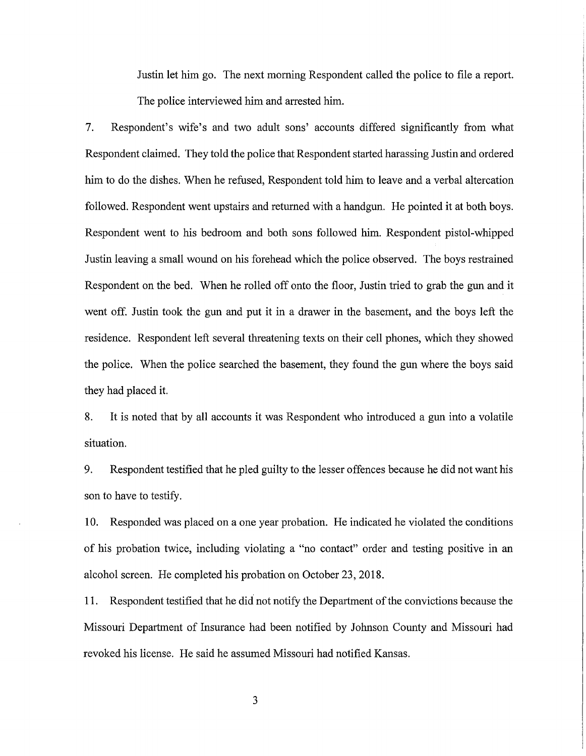Justin let him go. The next morning Respondent called the police to file a report. The police interviewed him and arrested him.

7. Respondent's wife's and two adult sons' accounts differed significantly from what Respondent claimed. They told the police that Respondent started harassing Justin and ordered him to do the dishes. When he refused, Respondent told him to leave and a verbal altercation followed. Respondent went upstairs and returned with a handgun. He pointed it at both boys. Respondent went to his bedroom and both sons followed him. Respondent pistol-whipped Justin leaving a small wound on his forehead which the police observed. The boys restrained Respondent on the bed. When he rolled off onto the floor, Justin tried to grab the gun and it went off. Justin took the gun and put it in a drawer in the basement, and the boys left the residence. Respondent left several threatening texts on their cell phones, which they showed the police. When the police searched the basement, they found the gun where the boys said they had placed it.

8. It is noted that by all accounts it was Respondent who introduced a gun into a volatile situation.

9. Respondent testified that he pled guilty to the lesser offences because he did not want his son to have to testify.

10. Responded was placed on a one year probation. He indicated he violated the conditions of his probation twice, including violating a "no contact" order and testing positive in an alcohol screen. He completed his probation on October 23, 2018.

11. Respondent testified that he did not notify the Department of the convictions because the Missouri Department of Insurance had been notified by Johnson County and Missouri had revoked his license. He said he assumed Missouri had notified Kansas.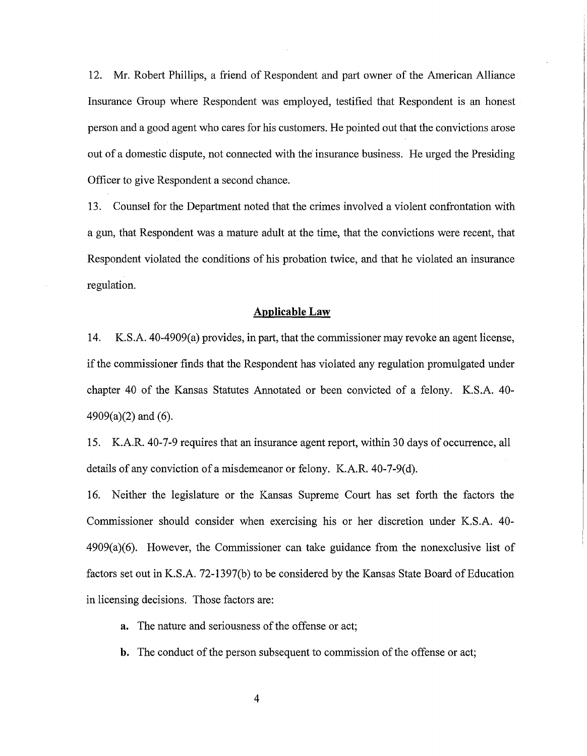12. Mr. Robert Phillips, a friend of Respondent and part owner of the American Alliance Insurance Group where Respondent was employed, testified that Respondent is an honest person and a good agent who cares for his customers. He pointed out that the convictions arose out of a domestic dispute, not connected with the insurance business. He urged the Presiding Officer to give Respondent a second chance.

13. Counsel for the Department noted that the crimes involved a violent confrontation with a gun, that Respondent was a mature adult at the time, that the convictions were recent, that Respondent violated the conditions of his probation twice, and that he violated an insurance regulation.

## **Applicable Law**

14. K.S.A. 40-4909(a) provides, in part, that the commissioner may revoke an agent license, if the commissioner finds that the Respondent has violated any regulation promulgated under chapter 40 of the Kansas Statutes Annotated or been convicted of a felony. K.S.A. 40- $4909(a)(2)$  and  $(6)$ .

15. K.A.R. 40-7-9 requires that an insurance agent report, within 30 days of occurrence, all details of any conviction of a misdemeanor or felony. K.A.R. 40-7-9(d).

16. Neither the legislature or the Kansas Supreme Court has set forth the factors the Commissioner should consider when exercising his or her discretion under K.S.A. 40- 4909(a)(6). However, the Commissioner can take guidance from the nonexclusive list of factors set out in K.S.A. 72-1397(b) to be considered by the Kansas State Board of Education in licensing decisions. Those factors are:

The nature and seriousness of the offense or act;

**b.** The conduct of the person subsequent to commission of the offense or act;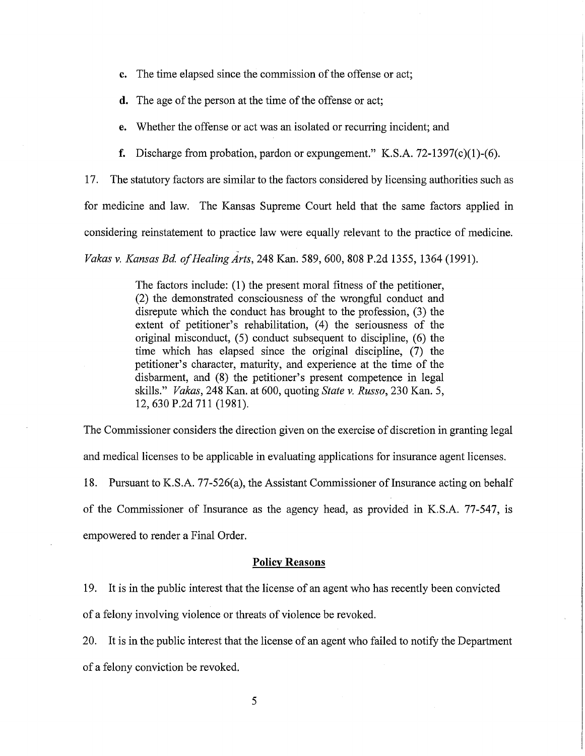- **c.** The time elapsed since the commission of the offense or act;
- **d.** The age of the person at the time of the offense or act;

**e.** Whether the offense or act was an isolated or recurring incident; and

**f.** Discharge from probation, pardon or expungement." K.S.A. 72-1397(c)(1)-(6).

17. The statutory factors are similar to the factors considered by licensing authorities such as

for medicine and law. The Kansas Supreme Court held that the same factors applied in

considering reinstatement to practice law were equally relevant to the practice of medicine.

*Vakas v. Kansas Bd. of Healing Arts,* 248 Kan. 589,600, 808 P.2d 1355, 1364 (1991).

The factors include: (1) the present moral fitness of the petitioner, (2) the demonstrated consciousness of the wrongful conduct and disrepute which the conduct has brought to the profession, (3) the extent of petitioner's rehabilitation, (4) the seriousness of the original misconduct,  $(5)$  conduct subsequent to discipline,  $(6)$  the time which has elapsed since the original discipline, (7) the petitioner's character, maturity, and experience at the time of the disbarment, and (8) the petitioner's present competence in legal skills." *Vakas,* 248 Kan. at 600, quoting *State v. Russo,* 230 Kan. 5, 12,630 P.2d 711 (1981).

The Commissioner considers the direction given on the exercise of discretion in granting legal

and medical licenses to be applicable in evaluating applications for insurance agent licenses.

18. Pursuant to K.S.A. 77-526(a), the Assistant Commissioner of Insurance acting on behalf of the Commissioner of Insurance as the agency head, as provided in K.S.A. 77-547, is empowered to render a Final Order.

#### **Policy Reasons**

19. It is in the public interest that the license of an agent who has recently been convicted

of a felony involving violence or threats of violence be revoked.

20. It is in the public interest that the license of an agent who failed to notify the Department of a felony conviction be revoked.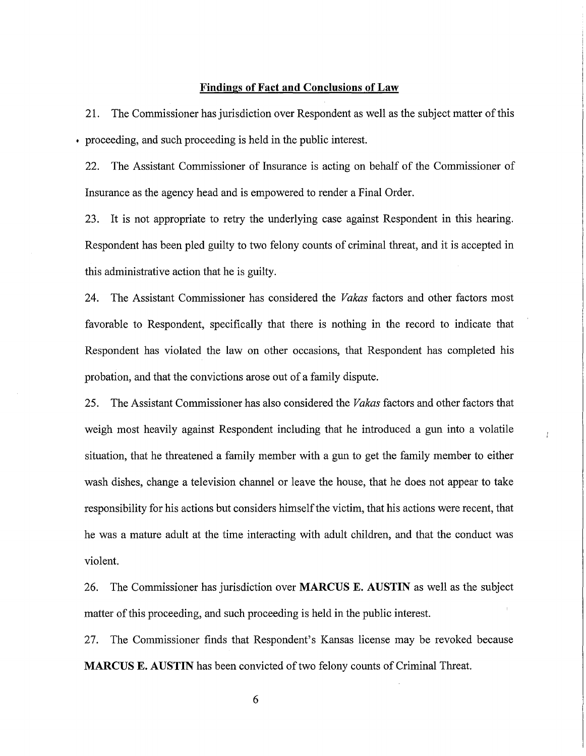## **Findings of Fact and Conclusions of Law**

21. The Commissioner has jurisdiction over Respondent as well as the subject matter of this • proceeding, and such proceeding is held in the public interest.

22. The Assistant Commissioner of Insurance is acting on behalf of the Commissioner of Insurance as the agency head and is empowered to render a Final Order.

23. It is not appropriate to retry the underlying case against Respondent in this hearing. Respondent has been pied guilty to two felony counts of criminal threat, and it is accepted in this administrative action that he is guilty.

24. The Assistant Commissioner has considered the *Vakas* factors and other factors most favorable to Respondent, specifically that there is nothing in the record to indicate that Respondent has violated the law on other occasions, that Respondent has completed his probation, and that the convictions arose out of a family dispute.

25. The Assistant Commissioner has also considered the *Vakas* factors and other factors that weigh most heavily against Respondent including that he introduced a gun into a volatile situation, that he threatened a family member with a gun to get the family member to either wash dishes, change a television channel or leave the house, that he does not appear to take responsibility for his actions but considers himself the victim, that his actions were recent, that he was a mature adult at the time interacting with adult children, and that the conduct was violent.

 $\mathbf{I}$ 

26. The Commissioner has jurisdiction over **MARCUS E. AUSTIN** as well as the subject matter of this proceeding, and such proceeding is held in the public interest.

27. The Commissioner finds that Respondent's Kansas license may be revoked because **MARCUS E. AUSTIN** has been convicted of two felony counts of Criminal Threat.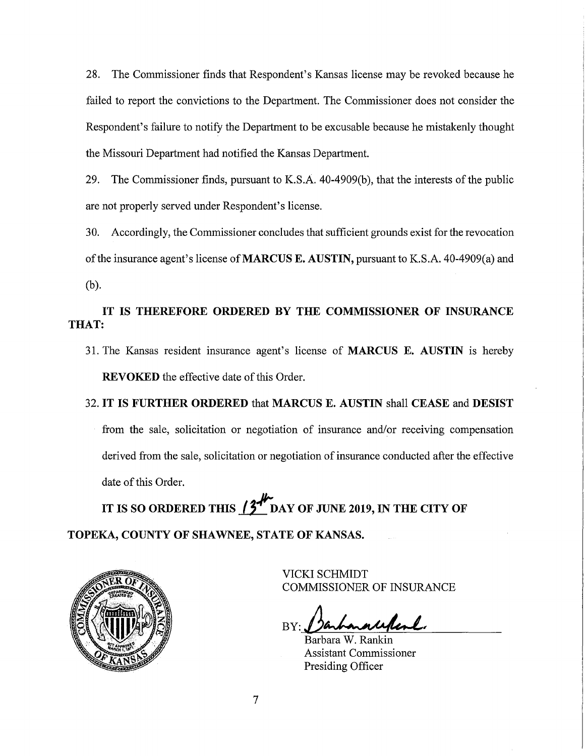28. The Commissioner finds that Respondent's Kansas license may be revoked because he failed to report the convictions to the Department. The Commissioner does not consider the Respondent's failure to notify the Department to be excusable because he mistakenly thought the Missouri Department had notified the Kansas Department.

29. The Commissioner finds, pursuant to K.S.A. 40-4909(b), that the interests of the public are not properly served under Respondent's license.

30. Accordingly, the Commissioner concludes that sufficient grounds exist for the revocation of the insurance agent's license of **MARCUS E. AUSTIN,** pursuant to K.S.A. 40-4909(a) and (b).

## **IT IS THEREFORE ORDERED BY THE COMMISSIONER OF INSURANCE THAT:**

- 31. The Kansas resident insurance agent's license of **MARCUS E. AUSTIN** is hereby **REVOKED** the effective date of this Order.
- 32. **IT IS FURTHER ORDERED** that **MARCUS E. AUSTIN** shall **CEASE** and **DESIST**  from the sale, solicitation or negotiation of insurance and/or receiving compensation derived from the sale, solicitation or negotiation of insurance conducted after the effective date of this Order.

IT IS SO ORDERED THIS  $\beta^{\#}$  DAY OF JUNE 2019, IN THE CITY OF **TOPEKA, COUNTY OF SHAWNEE, STATE OF KANSAS.** 



VICKI SCHMIDT COMMISSIONER OF INSURANCE

BY: **Jarbara Wellesl.**<br>Barbara W. Rankin

Assistant Commissioner Presiding Officer